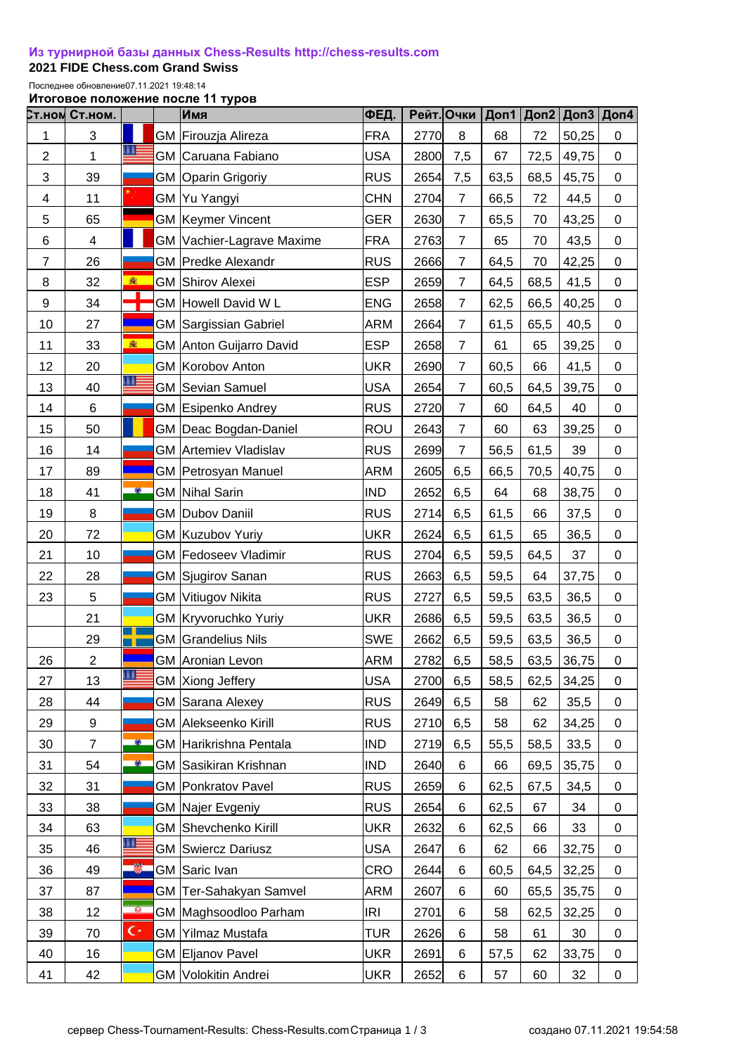## **[Из турнирной базы данных Chess-Results http://chess-results.com](http://chess-results.com/)**

**2021 FIDE Chess.com Grand Swiss** 

Последнее обновление07.11.2021 19:48:14

**Итоговое положение после 11 туров**

|                | <b>Ст.ном Ст.ном.</b> |                | Имя                          | ФЕД.       | Рейт. Очки |                |      | Доп1 Доп2 |       | Доп $3 $ Доп $4$ |
|----------------|-----------------------|----------------|------------------------------|------------|------------|----------------|------|-----------|-------|------------------|
| 1              | 3                     |                | GM Firouzja Alireza          | <b>FRA</b> | 2770       | 8              | 68   | 72        | 50,25 | 0                |
| $\overline{2}$ | 1                     | 88             | GM Caruana Fabiano           | <b>USA</b> | 2800       | 7,5            | 67   | 72,5      | 49,75 | 0                |
| 3              | 39                    |                | GM Oparin Grigoriy           | <b>RUS</b> | 2654       | 7,5            | 63,5 | 68,5      | 45,75 | 0                |
| 4              | 11                    |                | GM Yu Yangyi                 | <b>CHN</b> | 2704       | $\overline{7}$ | 66,5 | 72        | 44,5  | 0                |
| 5              | 65                    |                | <b>GM Keymer Vincent</b>     | <b>GER</b> | 2630       | $\overline{7}$ | 65,5 | 70        | 43,25 | 0                |
| 6              | 4                     |                | GM Vachier-Lagrave Maxime    | <b>FRA</b> | 2763       | $\overline{7}$ | 65   | 70        | 43,5  | 0                |
| $\overline{7}$ | 26                    |                | <b>GM</b> Predke Alexandr    | <b>RUS</b> | 2666       | $\overline{7}$ | 64,5 | 70        | 42,25 | 0                |
| 8              | 32                    | 変              | <b>GM Shirov Alexei</b>      | <b>ESP</b> | 2659       | $\overline{7}$ | 64,5 | 68,5      | 41,5  | 0                |
| 9              | 34                    | т              | GM Howell David W L          | <b>ENG</b> | 2658       | $\overline{7}$ | 62,5 | 66,5      | 40,25 | 0                |
| 10             | 27                    |                | <b>GM Sargissian Gabriel</b> | <b>ARM</b> | 2664       | $\overline{7}$ | 61,5 | 65,5      | 40,5  | 0                |
| 11             | 33                    | 変              | GM Anton Guijarro David      | <b>ESP</b> | 2658       | $\overline{7}$ | 61   | 65        | 39,25 | $\mathbf 0$      |
| 12             | 20                    |                | GM Korobov Anton             | <b>UKR</b> | 2690       | $\overline{7}$ | 60,5 | 66        | 41,5  | 0                |
| 13             | 40                    | ▓▓             | GM Sevian Samuel             | <b>USA</b> | 2654       | $\overline{7}$ | 60,5 | 64,5      | 39,75 | 0                |
| 14             | 6                     |                | <b>GM Esipenko Andrey</b>    | <b>RUS</b> | 2720       | $\overline{7}$ | 60   | 64,5      | 40    | 0                |
| 15             | 50                    |                | GM   Deac Bogdan-Daniel      | ROU        | 2643       | $\overline{7}$ | 60   | 63        | 39,25 | 0                |
| 16             | 14                    |                | <b>GM</b> Artemiev Vladislav | <b>RUS</b> | 2699       | $\overline{7}$ | 56,5 | 61,5      | 39    | $\pmb{0}$        |
| 17             | 89                    |                | <b>GM Petrosyan Manuel</b>   | ARM        | 2605       | 6,5            | 66,5 | 70,5      | 40,75 | 0                |
| 18             | 41                    | œ.             | <b>GM</b> Nihal Sarin        | <b>IND</b> | 2652       | 6,5            | 64   | 68        | 38,75 | 0                |
| 19             | 8                     |                | <b>GM Dubov Daniil</b>       | <b>RUS</b> | 2714       | 6,5            | 61,5 | 66        | 37,5  | $\mathbf 0$      |
| 20             | 72                    |                | GM Kuzubov Yuriy             | <b>UKR</b> | 2624       | 6,5            | 61,5 | 65        | 36,5  | 0                |
| 21             | 10                    |                | GM Fedoseev Vladimir         | <b>RUS</b> | 2704       | 6,5            | 59,5 | 64,5      | 37    | $\pmb{0}$        |
| 22             | 28                    |                | GM Sjugirov Sanan            | <b>RUS</b> | 2663       | 6,5            | 59,5 | 64        | 37,75 | 0                |
| 23             | 5                     |                | GM Vitiugov Nikita           | <b>RUS</b> | 2727       | 6,5            | 59,5 | 63,5      | 36,5  | $\mathbf 0$      |
|                | 21                    |                | GM Kryvoruchko Yuriy         | <b>UKR</b> | 2686       | 6,5            | 59,5 | 63,5      | 36,5  | 0                |
|                | 29                    |                | GM Grandelius Nils           | <b>SWE</b> | 2662       | 6,5            | 59,5 | 63,5      | 36,5  | $\boldsymbol{0}$ |
| 26             | $\overline{2}$        |                | GM Aronian Levon             | <b>ARM</b> | 2782       | 6,5            | 58,5 | 63,5      | 36,75 | $\boldsymbol{0}$ |
| 27             | 13                    | 88             | GM Xiong Jeffery             | <b>USA</b> | 2700       | 6,5            | 58,5 | 62,5      | 34,25 | 0                |
| 28             | 44                    |                | <b>GM Sarana Alexey</b>      | <b>RUS</b> | 2649       | 6,5            | 58   | 62        | 35,5  | 0                |
| 29             | 9                     |                | GM Alekseenko Kirill         | <b>RUS</b> | 2710       | 6,5            | 58   | 62        | 34,25 | 0                |
| 30             | $\overline{7}$        | œ.             | GM Harikrishna Pentala       | <b>IND</b> | 2719       | 6,5            | 55,5 | 58,5      | 33,5  | $\mathbf 0$      |
| 31             | 54                    | <b>SO</b>      | GM Sasikiran Krishnan        | <b>IND</b> | 2640       | 6              | 66   | 69,5      | 35,75 | 0                |
| 32             | 31                    |                | <b>GM</b> Ponkratov Pavel    | <b>RUS</b> | 2659       | 6              | 62,5 | 67,5      | 34,5  | 0                |
| 33             | 38                    |                | <b>GM Najer Evgeniy</b>      | <b>RUS</b> | 2654       | 6              | 62,5 | 67        | 34    | 0                |
| 34             | 63                    |                | <b>GM Shevchenko Kirill</b>  | <b>UKR</b> | 2632       | 6              | 62,5 | 66        | 33    | $\pmb{0}$        |
| 35             | 46                    |                | <b>GM Swiercz Dariusz</b>    | <b>USA</b> | 2647       | 6              | 62   | 66        | 32,75 | $\mathbf 0$      |
| 36             | 49                    |                | GM Saric Ivan                | CRO        | 2644       | 6              | 60,5 | 64,5      | 32,25 | 0                |
| 37             | 87                    |                | GM Ter-Sahakyan Samvel       | <b>ARM</b> | 2607       | 6              | 60   | 65,5      | 35,75 | 0                |
| 38             | 12                    | 38             | GM Maghsoodloo Parham        | IRI        | 2701       | 6              | 58   | 62,5      | 32,25 | 0                |
| 39             | 70                    | $\mathbf{C}^*$ | GM Yilmaz Mustafa            | TUR        | 2626       | $\,6$          | 58   | 61        | 30    | 0                |
| 40             | 16                    |                | GM Eljanov Pavel             | <b>UKR</b> | 2691       | 6              | 57,5 | 62        | 33,75 | 0                |
| 41             | 42                    |                | GM Volokitin Andrei          | <b>UKR</b> | 2652       | 6              | 57   | 60        | 32    | 0                |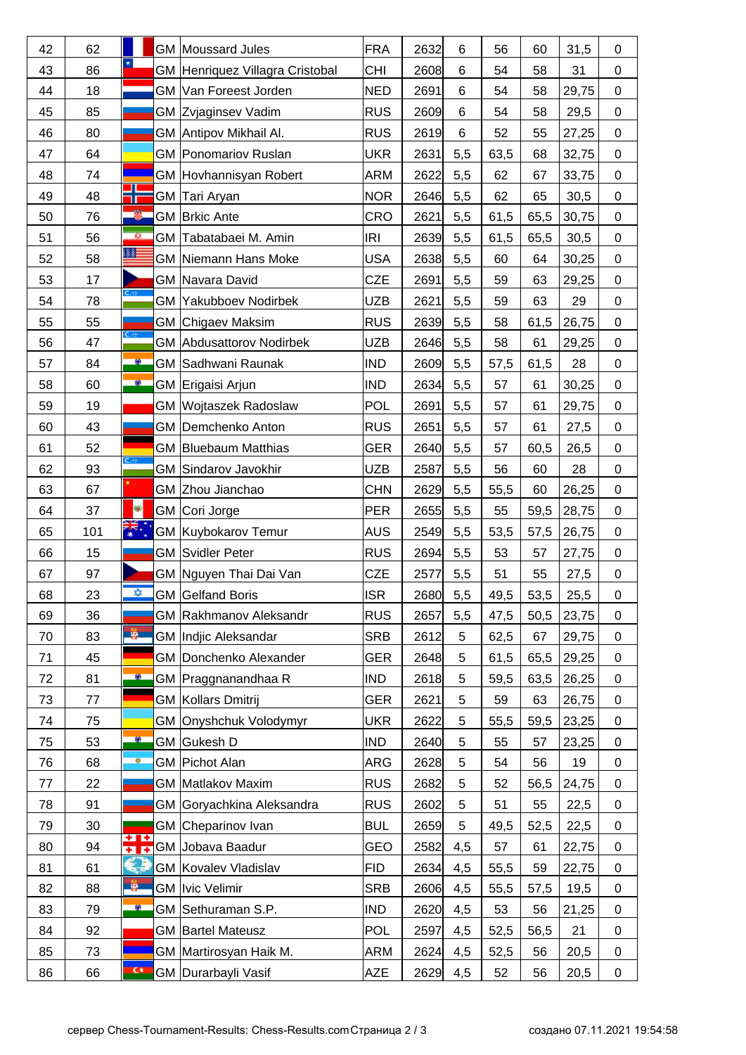| 42 | 62  |                         |    | GM Moussard Jules               | <b>FRA</b> | 2632 | 6   | 56   | 60   | 31,5  | 0                |
|----|-----|-------------------------|----|---------------------------------|------------|------|-----|------|------|-------|------------------|
| 43 | 86  | $\star$                 |    | GM Henriquez Villagra Cristobal | CHI        | 2608 | 6   | 54   | 58   | 31    | 0                |
| 44 | 18  |                         |    | GM Van Foreest Jorden           | <b>NED</b> | 2691 | 6   | 54   | 58   | 29,75 | 0                |
| 45 | 85  |                         |    | GM Zvjaginsev Vadim             | <b>RUS</b> | 2609 | 6   | 54   | 58   | 29,5  | $\mathbf 0$      |
| 46 | 80  |                         |    | GM Antipov Mikhail Al.          | <b>RUS</b> | 2619 | 6   | 52   | 55   | 27,25 | 0                |
| 47 | 64  |                         |    | <b>GM Ponomariov Ruslan</b>     | UKR        | 2631 | 5,5 | 63,5 | 68   | 32,75 | $\mathbf 0$      |
| 48 | 74  |                         |    | GM Hovhannisyan Robert          | ARM        | 2622 | 5,5 | 62   | 67   | 33,75 | $\mathbf 0$      |
| 49 | 48  |                         |    | GM Tari Aryan                   | <b>NOR</b> | 2646 | 5,5 | 62   | 65   | 30,5  | 0                |
| 50 | 76  |                         |    | GM Brkic Ante                   | CRO        | 2621 | 5,5 | 61,5 | 65,5 | 30,75 | $\boldsymbol{0}$ |
| 51 | 56  | $\overline{\mathbf{M}}$ |    | GM Tabatabaei M. Amin           | IRI        | 2639 | 5,5 | 61,5 | 65,5 | 30,5  | 0                |
| 52 | 58  | 88                      |    | <b>GM Niemann Hans Moke</b>     | <b>USA</b> | 2638 | 5,5 | 60   | 64   | 30,25 | 0                |
| 53 | 17  |                         |    | GM Navara David                 | CZE        | 2691 | 5,5 | 59   | 63   | 29,25 | 0                |
| 54 | 78  | $C_{\text{eff}}$        |    | <b>GM Yakubboev Nodirbek</b>    | UZB        | 2621 | 5,5 | 59   | 63   | 29    | 0                |
| 55 | 55  |                         |    | <b>GM</b> Chigaev Maksim        | <b>RUS</b> | 2639 | 5,5 | 58   | 61,5 | 26,75 | $\mathbf 0$      |
| 56 | 47  | $C_{\rm eff}$           |    | <b>GM</b> Abdusattorov Nodirbek | UZB        | 2646 | 5,5 | 58   | 61   | 29,25 | 0                |
| 57 | 84  | a.                      |    | <b>GM Sadhwani Raunak</b>       | <b>IND</b> | 2609 | 5,5 | 57,5 | 61,5 | 28    | 0                |
| 58 | 60  | $\bullet$               |    | GM Erigaisi Arjun               | <b>IND</b> | 2634 | 5,5 | 57   | 61   | 30,25 | $\mathbf 0$      |
| 59 | 19  |                         |    | GM Wojtaszek Radoslaw           | POL        | 2691 | 5,5 | 57   | 61   | 29,75 | 0                |
| 60 | 43  |                         |    | GM Demchenko Anton              | <b>RUS</b> | 2651 | 5,5 | 57   | 61   | 27,5  | $\mathbf 0$      |
| 61 | 52  |                         |    | GM Bluebaum Matthias            | <b>GER</b> | 2640 | 5,5 | 57   | 60,5 | 26,5  | $\mathbf 0$      |
| 62 | 93  | $C_{\rm eff}$           |    | GM Sindarov Javokhir            | <b>UZB</b> | 2587 | 5,5 | 56   | 60   | 28    | 0                |
| 63 | 67  |                         |    | GM Zhou Jianchao                | <b>CHN</b> | 2629 | 5,5 | 55,5 | 60   | 26,25 | 0                |
| 64 | 37  | 8                       |    | GM Cori Jorge                   | PER        | 2655 | 5,5 | 55   | 59,5 | 28,75 | $\boldsymbol{0}$ |
| 65 | 101 | ₹.                      |    | GM Kuybokarov Temur             | <b>AUS</b> | 2549 | 5,5 | 53,5 | 57,5 | 26,75 | $\mathbf 0$      |
| 66 | 15  |                         |    | <b>GM Svidler Peter</b>         | <b>RUS</b> | 2694 | 5,5 | 53   | 57   | 27,75 | $\mathbf 0$      |
| 67 | 97  |                         |    | GM Nguyen Thai Dai Van          | CZE        | 2577 | 5,5 | 51   | 55   | 27,5  | $\pmb{0}$        |
| 68 | 23  | ŵ.                      |    | <b>GM</b> Gelfand Boris         | <b>ISR</b> | 2680 | 5,5 | 49,5 | 53,5 | 25,5  | $\mathbf 0$      |
| 69 | 36  |                         |    | <b>GM Rakhmanov Aleksandr</b>   | <b>RUS</b> | 2657 | 5,5 | 47,5 | 50,5 | 23,75 | 0                |
| 70 | 83  | -9.                     |    | GM Indjic Aleksandar            | <b>SRB</b> | 2612 | 5   | 62,5 | 67   | 29,75 | 0                |
| 71 | 45  |                         |    | GM Donchenko Alexander          | <b>GER</b> | 2648 | 5   | 61,5 | 65,5 | 29,25 | 0                |
| 72 | 81  | a.                      |    | GM Praggnanandhaa R             | <b>IND</b> | 2618 | 5   | 59,5 | 63,5 | 26,25 | 0                |
| 73 | 77  |                         |    | GM Kollars Dmitrij              | <b>GER</b> | 2621 | 5   | 59   | 63   | 26,75 | 0                |
| 74 | 75  |                         |    | GM Onyshchuk Volodymyr          | <b>UKR</b> | 2622 | 5   | 55,5 | 59,5 | 23,25 | $\mathbf 0$      |
| 75 | 53  | <b>O</b>                |    | GM Gukesh D                     | <b>IND</b> | 2640 | 5   | 55   | 57   | 23,25 | 0                |
| 76 | 68  |                         |    | GM Pichot Alan                  | ARG        | 2628 | 5   | 54   | 56   | 19    | 0                |
| 77 | 22  |                         |    | GM Matlakov Maxim               | <b>RUS</b> | 2682 | 5   | 52   | 56,5 | 24,75 | 0                |
| 78 | 91  |                         |    | GM Goryachkina Aleksandra       | <b>RUS</b> | 2602 | 5   | 51   | 55   | 22,5  | $\mathbf 0$      |
| 79 | 30  | ÷۱                      |    | GM Cheparinov Ivan              | <b>BUL</b> | 2659 | 5   | 49,5 | 52,5 | 22,5  | 0                |
| 80 | 94  | <b>FTF</b>              |    | GM Jobava Baadur                | GEO        | 2582 | 4,5 | 57   | 61   | 22,75 | 0                |
| 81 | 61  |                         |    | GM Kovalev Vladislav            | <b>FID</b> | 2634 | 4,5 | 55,5 | 59   | 22,75 | 0                |
| 82 | 88  | L.                      | GМ | Ivic Velimir                    | <b>SRB</b> | 2606 | 4,5 | 55,5 | 57,5 | 19,5  | 0                |
| 83 | 79  | e.                      |    | GM Sethuraman S.P.              | <b>IND</b> | 2620 | 4,5 | 53   | 56   | 21,25 | 0                |
| 84 | 92  |                         |    | GM Bartel Mateusz               | <b>POL</b> | 2597 | 4,5 | 52,5 | 56,5 | 21    | $\mathbf 0$      |
| 85 | 73  |                         |    | GM Martirosyan Haik M.          | ARM        | 2624 | 4,5 | 52,5 | 56   | 20,5  | 0                |
| 86 | 66  | $\overline{\mathbf{C}}$ |    | GM Durarbayli Vasif             | <b>AZE</b> | 2629 | 4,5 | 52   | 56   | 20,5  | 0                |